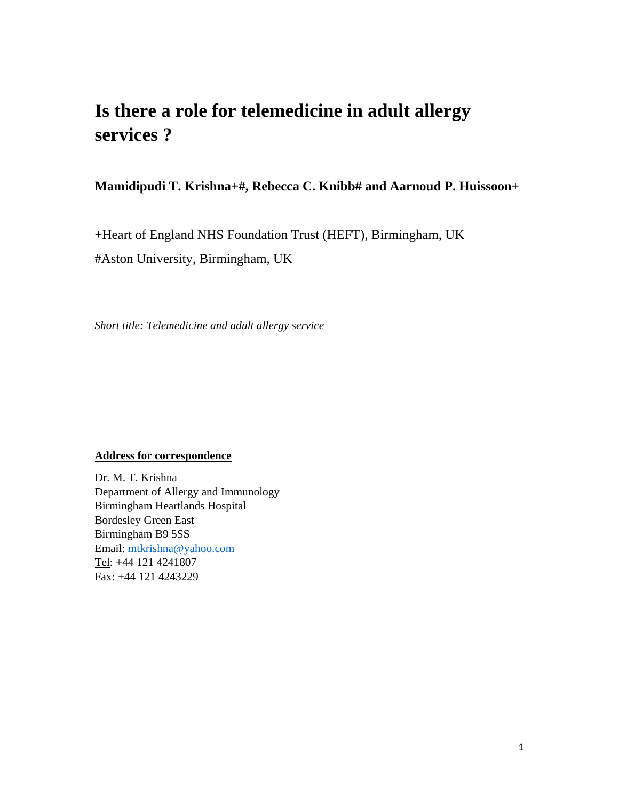# **Is there a role for telemedicine in adult allergy services ?**

**Mamidipudi T. Krishna+#, Rebecca C. Knibb# and Aarnoud P. Huissoon+** 

+Heart of England NHS Foundation Trust (HEFT), Birmingham, UK

#Aston University, Birmingham, UK

*Short title: Telemedicine and adult allergy service* 

## **Address for correspondence**

Dr. M. T. Krishna Department of Allergy and Immunology Birmingham Heartlands Hospital Bordesley Green East Birmingham B9 5SS Email: mtkrishna@yahoo.com Tel: +44 121 4241807 Fax: +44 121 4243229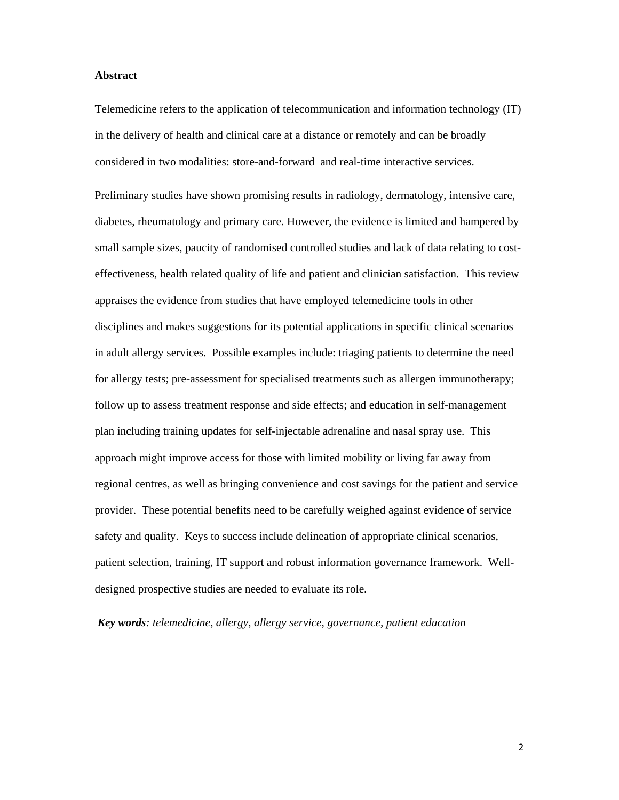#### **Abstract**

Telemedicine refers to the application of telecommunication and information technology (IT) in the delivery of health and clinical care at a distance or remotely and can be broadly considered in two modalities: store-and-forward and real-time interactive services.

Preliminary studies have shown promising results in radiology, dermatology, intensive care, diabetes, rheumatology and primary care. However, the evidence is limited and hampered by small sample sizes, paucity of randomised controlled studies and lack of data relating to costeffectiveness, health related quality of life and patient and clinician satisfaction. This review appraises the evidence from studies that have employed telemedicine tools in other disciplines and makes suggestions for its potential applications in specific clinical scenarios in adult allergy services. Possible examples include: triaging patients to determine the need for allergy tests; pre-assessment for specialised treatments such as allergen immunotherapy; follow up to assess treatment response and side effects; and education in self-management plan including training updates for self-injectable adrenaline and nasal spray use. This approach might improve access for those with limited mobility or living far away from regional centres, as well as bringing convenience and cost savings for the patient and service provider. These potential benefits need to be carefully weighed against evidence of service safety and quality. Keys to success include delineation of appropriate clinical scenarios, patient selection, training, IT support and robust information governance framework. Welldesigned prospective studies are needed to evaluate its role.

*Key words: telemedicine, allergy, allergy service, governance, patient education*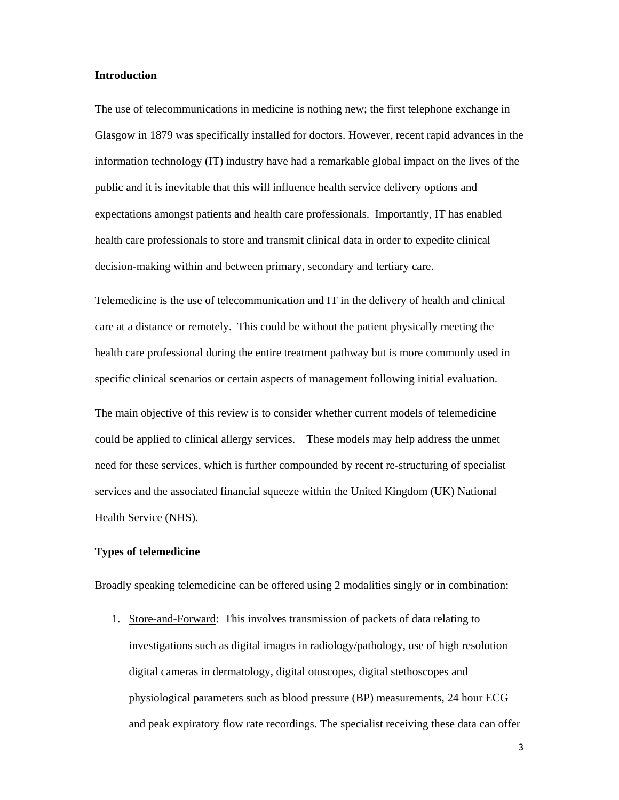#### **Introduction**

The use of telecommunications in medicine is nothing new; the first telephone exchange in Glasgow in 1879 was specifically installed for doctors. However, recent rapid advances in the information technology (IT) industry have had a remarkable global impact on the lives of the public and it is inevitable that this will influence health service delivery options and expectations amongst patients and health care professionals. Importantly, IT has enabled health care professionals to store and transmit clinical data in order to expedite clinical decision-making within and between primary, secondary and tertiary care.

Telemedicine is the use of telecommunication and IT in the delivery of health and clinical care at a distance or remotely. This could be without the patient physically meeting the health care professional during the entire treatment pathway but is more commonly used in specific clinical scenarios or certain aspects of management following initial evaluation.

The main objective of this review is to consider whether current models of telemedicine could be applied to clinical allergy services. These models may help address the unmet need for these services, which is further compounded by recent re-structuring of specialist services and the associated financial squeeze within the United Kingdom (UK) National Health Service (NHS).

#### **Types of telemedicine**

Broadly speaking telemedicine can be offered using 2 modalities singly or in combination:

1. Store-and-Forward: This involves transmission of packets of data relating to investigations such as digital images in radiology/pathology, use of high resolution digital cameras in dermatology, digital otoscopes, digital stethoscopes and physiological parameters such as blood pressure (BP) measurements, 24 hour ECG and peak expiratory flow rate recordings. The specialist receiving these data can offer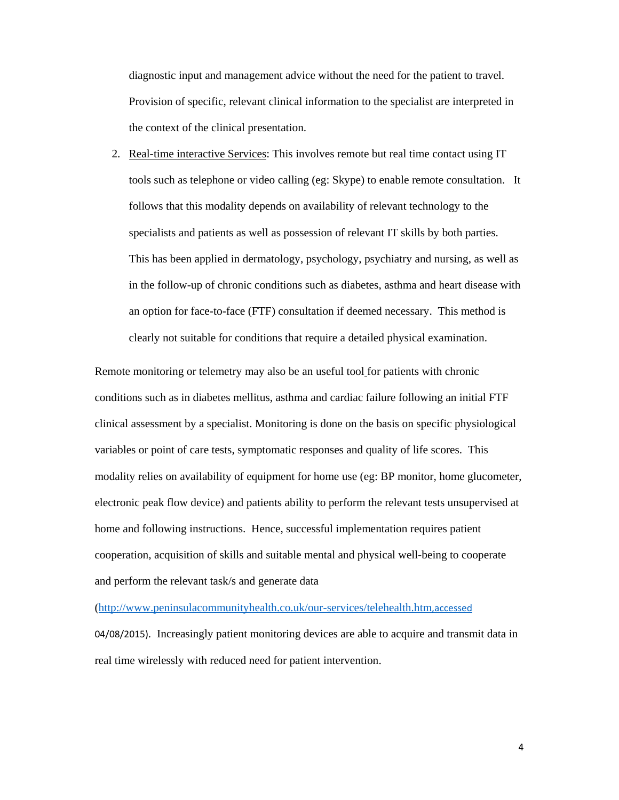diagnostic input and management advice without the need for the patient to travel. Provision of specific, relevant clinical information to the specialist are interpreted in the context of the clinical presentation.

2. Real-time interactive Services: This involves remote but real time contact using IT tools such as telephone or video calling (eg: Skype) to enable remote consultation. It follows that this modality depends on availability of relevant technology to the specialists and patients as well as possession of relevant IT skills by both parties. This has been applied in dermatology, psychology, psychiatry and nursing, as well as in the follow-up of chronic conditions such as diabetes, asthma and heart disease with an option for face-to-face (FTF) consultation if deemed necessary. This method is clearly not suitable for conditions that require a detailed physical examination.

Remote monitoring or telemetry may also be an useful tool for patients with chronic conditions such as in diabetes mellitus, asthma and cardiac failure following an initial FTF clinical assessment by a specialist. Monitoring is done on the basis on specific physiological variables or point of care tests, symptomatic responses and quality of life scores. This modality relies on availability of equipment for home use (eg: BP monitor, home glucometer, electronic peak flow device) and patients ability to perform the relevant tests unsupervised at home and following instructions. Hence, successful implementation requires patient cooperation, acquisition of skills and suitable mental and physical well-being to cooperate and perform the relevant task/s and generate data

(http://www.peninsulacommunityhealth.co.uk/our-services/telehealth.htm,accessed

04/08/2015). Increasingly patient monitoring devices are able to acquire and transmit data in real time wirelessly with reduced need for patient intervention.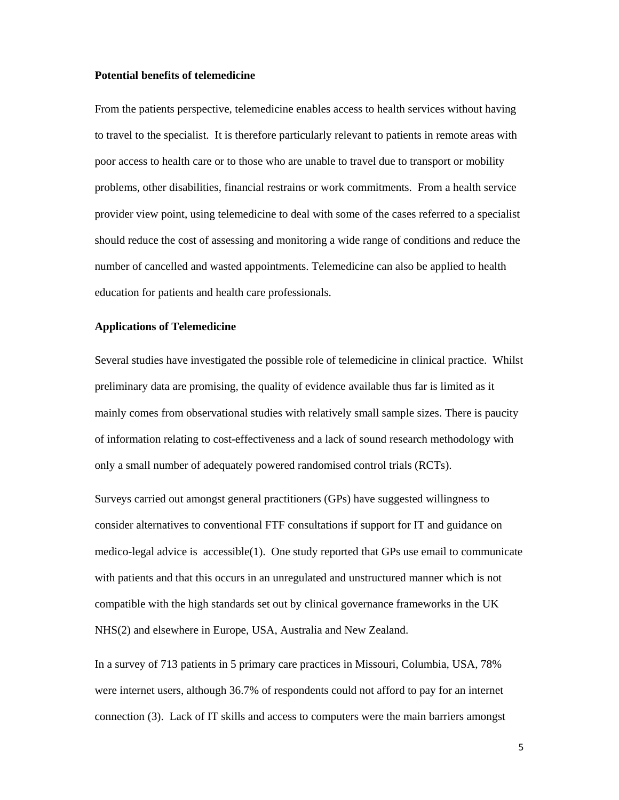#### **Potential benefits of telemedicine**

From the patients perspective, telemedicine enables access to health services without having to travel to the specialist. It is therefore particularly relevant to patients in remote areas with poor access to health care or to those who are unable to travel due to transport or mobility problems, other disabilities, financial restrains or work commitments. From a health service provider view point, using telemedicine to deal with some of the cases referred to a specialist should reduce the cost of assessing and monitoring a wide range of conditions and reduce the number of cancelled and wasted appointments. Telemedicine can also be applied to health education for patients and health care professionals.

#### **Applications of Telemedicine**

Several studies have investigated the possible role of telemedicine in clinical practice. Whilst preliminary data are promising, the quality of evidence available thus far is limited as it mainly comes from observational studies with relatively small sample sizes. There is paucity of information relating to cost-effectiveness and a lack of sound research methodology with only a small number of adequately powered randomised control trials (RCTs).

Surveys carried out amongst general practitioners (GPs) have suggested willingness to consider alternatives to conventional FTF consultations if support for IT and guidance on medico-legal advice is accessible(1). One study reported that GPs use email to communicate with patients and that this occurs in an unregulated and unstructured manner which is not compatible with the high standards set out by clinical governance frameworks in the UK NHS(2) and elsewhere in Europe, USA, Australia and New Zealand.

In a survey of 713 patients in 5 primary care practices in Missouri, Columbia, USA, 78% were internet users, although 36.7% of respondents could not afford to pay for an internet connection (3). Lack of IT skills and access to computers were the main barriers amongst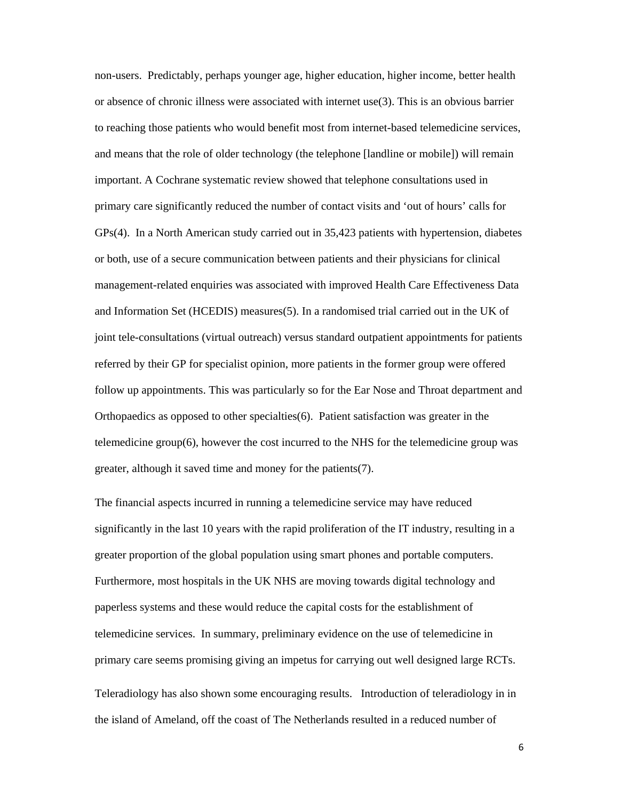non-users. Predictably, perhaps younger age, higher education, higher income, better health or absence of chronic illness were associated with internet use(3). This is an obvious barrier to reaching those patients who would benefit most from internet-based telemedicine services, and means that the role of older technology (the telephone [landline or mobile]) will remain important. A Cochrane systematic review showed that telephone consultations used in primary care significantly reduced the number of contact visits and 'out of hours' calls for GPs(4). In a North American study carried out in 35,423 patients with hypertension, diabetes or both, use of a secure communication between patients and their physicians for clinical management-related enquiries was associated with improved Health Care Effectiveness Data and Information Set (HCEDIS) measures(5). In a randomised trial carried out in the UK of joint tele-consultations (virtual outreach) versus standard outpatient appointments for patients referred by their GP for specialist opinion, more patients in the former group were offered follow up appointments. This was particularly so for the Ear Nose and Throat department and Orthopaedics as opposed to other specialties(6). Patient satisfaction was greater in the telemedicine group(6), however the cost incurred to the NHS for the telemedicine group was greater, although it saved time and money for the patients(7).

The financial aspects incurred in running a telemedicine service may have reduced significantly in the last 10 years with the rapid proliferation of the IT industry, resulting in a greater proportion of the global population using smart phones and portable computers. Furthermore, most hospitals in the UK NHS are moving towards digital technology and paperless systems and these would reduce the capital costs for the establishment of telemedicine services. In summary, preliminary evidence on the use of telemedicine in primary care seems promising giving an impetus for carrying out well designed large RCTs.

Teleradiology has also shown some encouraging results. Introduction of teleradiology in in the island of Ameland, off the coast of The Netherlands resulted in a reduced number of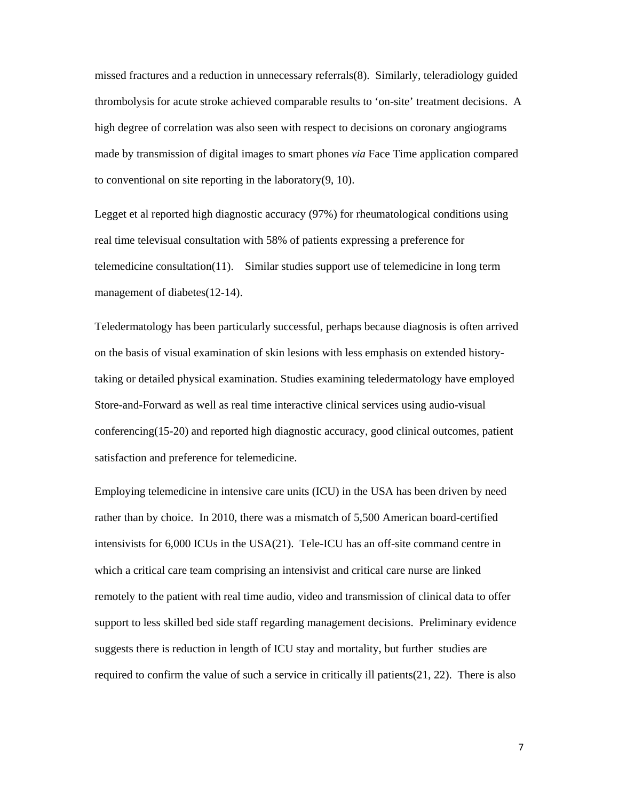missed fractures and a reduction in unnecessary referrals(8). Similarly, teleradiology guided thrombolysis for acute stroke achieved comparable results to 'on-site' treatment decisions. A high degree of correlation was also seen with respect to decisions on coronary angiograms made by transmission of digital images to smart phones *via* Face Time application compared to conventional on site reporting in the laboratory(9, 10).

Legget et al reported high diagnostic accuracy (97%) for rheumatological conditions using real time televisual consultation with 58% of patients expressing a preference for telemedicine consultation(11). Similar studies support use of telemedicine in long term management of diabetes(12-14).

Teledermatology has been particularly successful, perhaps because diagnosis is often arrived on the basis of visual examination of skin lesions with less emphasis on extended historytaking or detailed physical examination. Studies examining teledermatology have employed Store-and-Forward as well as real time interactive clinical services using audio-visual conferencing(15-20) and reported high diagnostic accuracy, good clinical outcomes, patient satisfaction and preference for telemedicine.

Employing telemedicine in intensive care units (ICU) in the USA has been driven by need rather than by choice. In 2010, there was a mismatch of 5,500 American board-certified intensivists for 6,000 ICUs in the USA(21). Tele-ICU has an off-site command centre in which a critical care team comprising an intensivist and critical care nurse are linked remotely to the patient with real time audio, video and transmission of clinical data to offer support to less skilled bed side staff regarding management decisions. Preliminary evidence suggests there is reduction in length of ICU stay and mortality, but further studies are required to confirm the value of such a service in critically ill patients(21, 22). There is also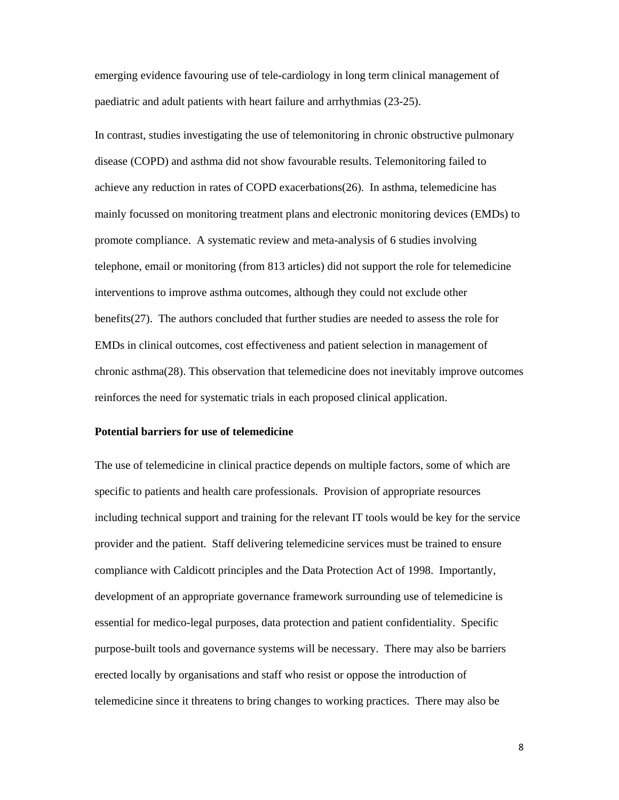emerging evidence favouring use of tele-cardiology in long term clinical management of paediatric and adult patients with heart failure and arrhythmias (23-25).

In contrast, studies investigating the use of telemonitoring in chronic obstructive pulmonary disease (COPD) and asthma did not show favourable results. Telemonitoring failed to achieve any reduction in rates of COPD exacerbations(26). In asthma, telemedicine has mainly focussed on monitoring treatment plans and electronic monitoring devices (EMDs) to promote compliance. A systematic review and meta-analysis of 6 studies involving telephone, email or monitoring (from 813 articles) did not support the role for telemedicine interventions to improve asthma outcomes, although they could not exclude other benefits(27). The authors concluded that further studies are needed to assess the role for EMDs in clinical outcomes, cost effectiveness and patient selection in management of chronic asthma(28). This observation that telemedicine does not inevitably improve outcomes reinforces the need for systematic trials in each proposed clinical application.

#### **Potential barriers for use of telemedicine**

The use of telemedicine in clinical practice depends on multiple factors, some of which are specific to patients and health care professionals. Provision of appropriate resources including technical support and training for the relevant IT tools would be key for the service provider and the patient. Staff delivering telemedicine services must be trained to ensure compliance with Caldicott principles and the Data Protection Act of 1998. Importantly, development of an appropriate governance framework surrounding use of telemedicine is essential for medico-legal purposes, data protection and patient confidentiality. Specific purpose-built tools and governance systems will be necessary. There may also be barriers erected locally by organisations and staff who resist or oppose the introduction of telemedicine since it threatens to bring changes to working practices. There may also be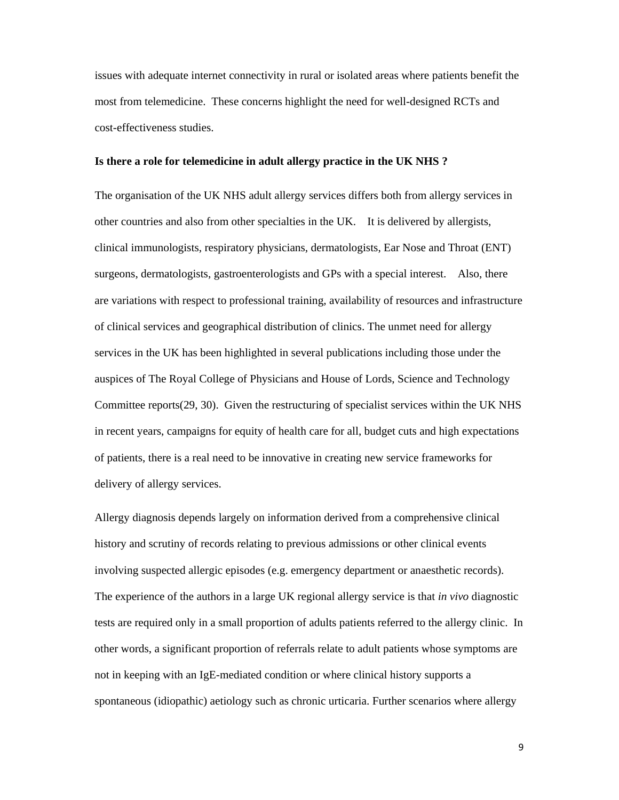issues with adequate internet connectivity in rural or isolated areas where patients benefit the most from telemedicine. These concerns highlight the need for well-designed RCTs and cost-effectiveness studies.

#### **Is there a role for telemedicine in adult allergy practice in the UK NHS ?**

The organisation of the UK NHS adult allergy services differs both from allergy services in other countries and also from other specialties in the UK. It is delivered by allergists, clinical immunologists, respiratory physicians, dermatologists, Ear Nose and Throat (ENT) surgeons, dermatologists, gastroenterologists and GPs with a special interest. Also, there are variations with respect to professional training, availability of resources and infrastructure of clinical services and geographical distribution of clinics. The unmet need for allergy services in the UK has been highlighted in several publications including those under the auspices of The Royal College of Physicians and House of Lords, Science and Technology Committee reports(29, 30). Given the restructuring of specialist services within the UK NHS in recent years, campaigns for equity of health care for all, budget cuts and high expectations of patients, there is a real need to be innovative in creating new service frameworks for delivery of allergy services.

Allergy diagnosis depends largely on information derived from a comprehensive clinical history and scrutiny of records relating to previous admissions or other clinical events involving suspected allergic episodes (e.g. emergency department or anaesthetic records). The experience of the authors in a large UK regional allergy service is that *in vivo* diagnostic tests are required only in a small proportion of adults patients referred to the allergy clinic. In other words, a significant proportion of referrals relate to adult patients whose symptoms are not in keeping with an IgE-mediated condition or where clinical history supports a spontaneous (idiopathic) aetiology such as chronic urticaria. Further scenarios where allergy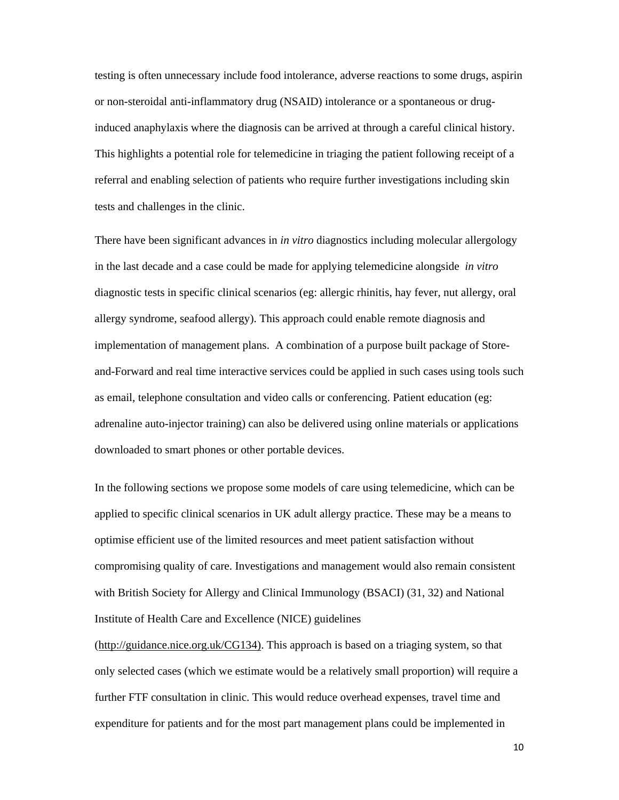testing is often unnecessary include food intolerance, adverse reactions to some drugs, aspirin or non-steroidal anti-inflammatory drug (NSAID) intolerance or a spontaneous or druginduced anaphylaxis where the diagnosis can be arrived at through a careful clinical history. This highlights a potential role for telemedicine in triaging the patient following receipt of a referral and enabling selection of patients who require further investigations including skin tests and challenges in the clinic.

There have been significant advances in *in vitro* diagnostics including molecular allergology in the last decade and a case could be made for applying telemedicine alongside *in vitro* diagnostic tests in specific clinical scenarios (eg: allergic rhinitis, hay fever, nut allergy, oral allergy syndrome, seafood allergy). This approach could enable remote diagnosis and implementation of management plans. A combination of a purpose built package of Storeand-Forward and real time interactive services could be applied in such cases using tools such as email, telephone consultation and video calls or conferencing. Patient education (eg: adrenaline auto-injector training) can also be delivered using online materials or applications downloaded to smart phones or other portable devices.

In the following sections we propose some models of care using telemedicine, which can be applied to specific clinical scenarios in UK adult allergy practice. These may be a means to optimise efficient use of the limited resources and meet patient satisfaction without compromising quality of care. Investigations and management would also remain consistent with British Society for Allergy and Clinical Immunology (BSACI) (31, 32) and National Institute of Health Care and Excellence (NICE) guidelines

(http://guidance.nice.org.uk/CG134). This approach is based on a triaging system, so that only selected cases (which we estimate would be a relatively small proportion) will require a further FTF consultation in clinic. This would reduce overhead expenses, travel time and expenditure for patients and for the most part management plans could be implemented in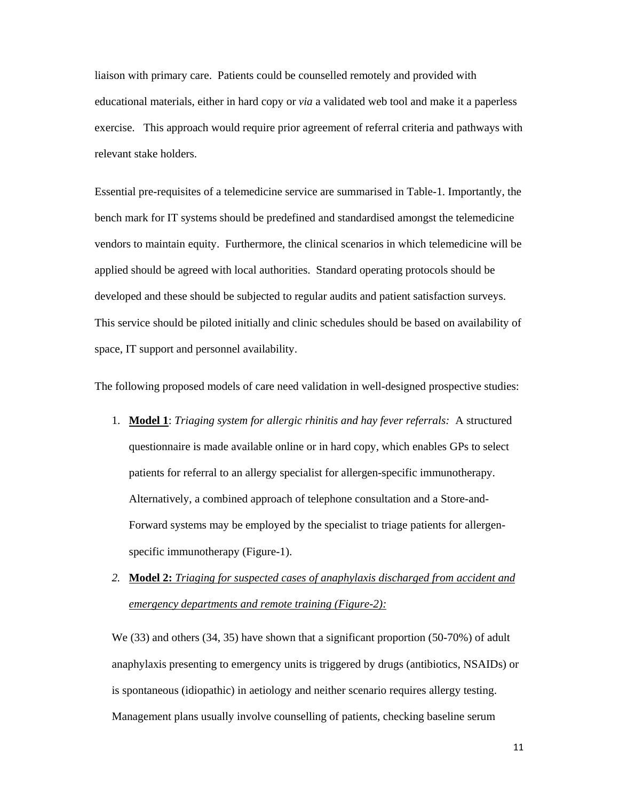liaison with primary care. Patients could be counselled remotely and provided with educational materials, either in hard copy or *via* a validated web tool and make it a paperless exercise. This approach would require prior agreement of referral criteria and pathways with relevant stake holders.

Essential pre-requisites of a telemedicine service are summarised in Table-1. Importantly, the bench mark for IT systems should be predefined and standardised amongst the telemedicine vendors to maintain equity. Furthermore, the clinical scenarios in which telemedicine will be applied should be agreed with local authorities. Standard operating protocols should be developed and these should be subjected to regular audits and patient satisfaction surveys. This service should be piloted initially and clinic schedules should be based on availability of space, IT support and personnel availability.

The following proposed models of care need validation in well-designed prospective studies:

- 1. **Model 1**: *Triaging system for allergic rhinitis and hay fever referrals:* A structured questionnaire is made available online or in hard copy, which enables GPs to select patients for referral to an allergy specialist for allergen-specific immunotherapy. Alternatively, a combined approach of telephone consultation and a Store-and-Forward systems may be employed by the specialist to triage patients for allergenspecific immunotherapy (Figure-1).
- *2.* **Model 2:** *Triaging for suspected cases of anaphylaxis discharged from accident and emergency departments and remote training (Figure-2):*

We (33) and others (34, 35) have shown that a significant proportion (50-70%) of adult anaphylaxis presenting to emergency units is triggered by drugs (antibiotics, NSAIDs) or is spontaneous (idiopathic) in aetiology and neither scenario requires allergy testing. Management plans usually involve counselling of patients, checking baseline serum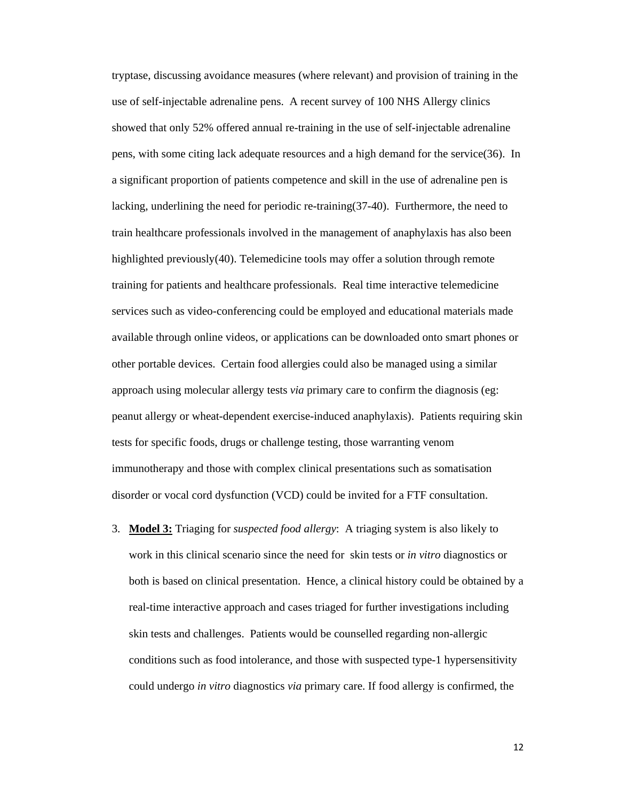tryptase, discussing avoidance measures (where relevant) and provision of training in the use of self-injectable adrenaline pens. A recent survey of 100 NHS Allergy clinics showed that only 52% offered annual re-training in the use of self-injectable adrenaline pens, with some citing lack adequate resources and a high demand for the service(36). In a significant proportion of patients competence and skill in the use of adrenaline pen is lacking, underlining the need for periodic re-training(37-40). Furthermore, the need to train healthcare professionals involved in the management of anaphylaxis has also been highlighted previously(40). Telemedicine tools may offer a solution through remote training for patients and healthcare professionals. Real time interactive telemedicine services such as video-conferencing could be employed and educational materials made available through online videos, or applications can be downloaded onto smart phones or other portable devices. Certain food allergies could also be managed using a similar approach using molecular allergy tests *via* primary care to confirm the diagnosis (eg: peanut allergy or wheat-dependent exercise-induced anaphylaxis). Patients requiring skin tests for specific foods, drugs or challenge testing, those warranting venom immunotherapy and those with complex clinical presentations such as somatisation disorder or vocal cord dysfunction (VCD) could be invited for a FTF consultation.

3. **Model 3:** Triaging for *suspected food allergy*: A triaging system is also likely to work in this clinical scenario since the need for skin tests or *in vitro* diagnostics or both is based on clinical presentation. Hence, a clinical history could be obtained by a real-time interactive approach and cases triaged for further investigations including skin tests and challenges. Patients would be counselled regarding non-allergic conditions such as food intolerance, and those with suspected type-1 hypersensitivity could undergo *in vitro* diagnostics *via* primary care. If food allergy is confirmed, the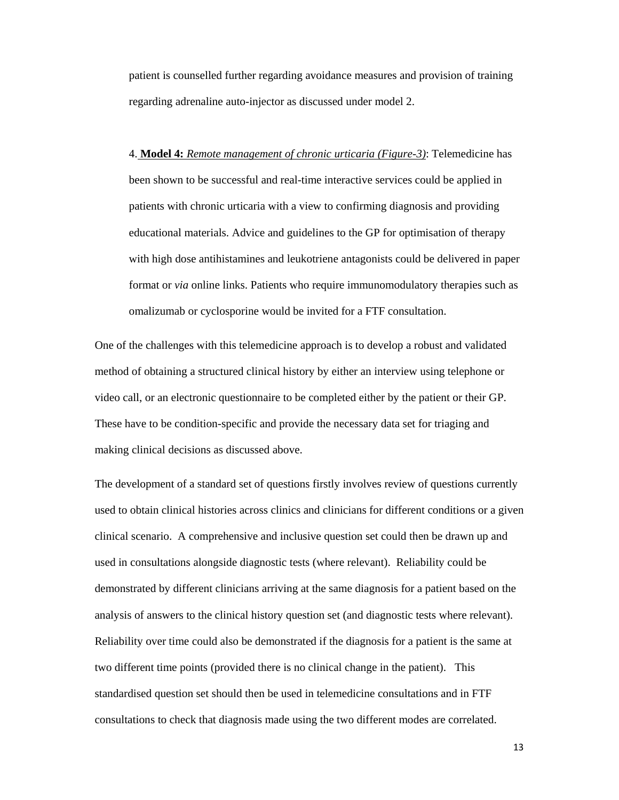patient is counselled further regarding avoidance measures and provision of training regarding adrenaline auto-injector as discussed under model 2.

4. **Model 4:** *Remote management of chronic urticaria (Figure-3)*: Telemedicine has been shown to be successful and real-time interactive services could be applied in patients with chronic urticaria with a view to confirming diagnosis and providing educational materials. Advice and guidelines to the GP for optimisation of therapy with high dose antihistamines and leukotriene antagonists could be delivered in paper format or *via* online links. Patients who require immunomodulatory therapies such as omalizumab or cyclosporine would be invited for a FTF consultation.

One of the challenges with this telemedicine approach is to develop a robust and validated method of obtaining a structured clinical history by either an interview using telephone or video call, or an electronic questionnaire to be completed either by the patient or their GP. These have to be condition-specific and provide the necessary data set for triaging and making clinical decisions as discussed above.

The development of a standard set of questions firstly involves review of questions currently used to obtain clinical histories across clinics and clinicians for different conditions or a given clinical scenario. A comprehensive and inclusive question set could then be drawn up and used in consultations alongside diagnostic tests (where relevant). Reliability could be demonstrated by different clinicians arriving at the same diagnosis for a patient based on the analysis of answers to the clinical history question set (and diagnostic tests where relevant). Reliability over time could also be demonstrated if the diagnosis for a patient is the same at two different time points (provided there is no clinical change in the patient). This standardised question set should then be used in telemedicine consultations and in FTF consultations to check that diagnosis made using the two different modes are correlated.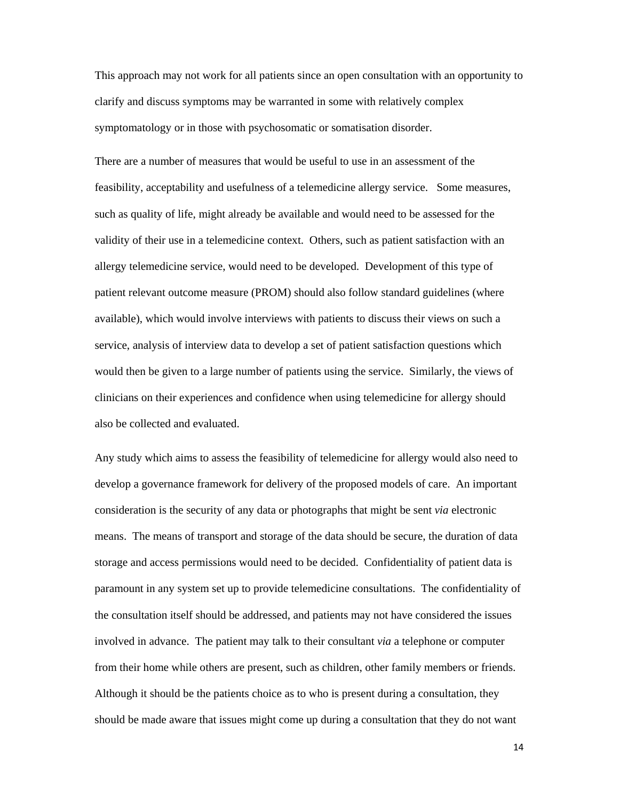This approach may not work for all patients since an open consultation with an opportunity to clarify and discuss symptoms may be warranted in some with relatively complex symptomatology or in those with psychosomatic or somatisation disorder.

There are a number of measures that would be useful to use in an assessment of the feasibility, acceptability and usefulness of a telemedicine allergy service. Some measures, such as quality of life, might already be available and would need to be assessed for the validity of their use in a telemedicine context. Others, such as patient satisfaction with an allergy telemedicine service, would need to be developed. Development of this type of patient relevant outcome measure (PROM) should also follow standard guidelines (where available), which would involve interviews with patients to discuss their views on such a service, analysis of interview data to develop a set of patient satisfaction questions which would then be given to a large number of patients using the service. Similarly, the views of clinicians on their experiences and confidence when using telemedicine for allergy should also be collected and evaluated.

Any study which aims to assess the feasibility of telemedicine for allergy would also need to develop a governance framework for delivery of the proposed models of care. An important consideration is the security of any data or photographs that might be sent *via* electronic means. The means of transport and storage of the data should be secure, the duration of data storage and access permissions would need to be decided. Confidentiality of patient data is paramount in any system set up to provide telemedicine consultations. The confidentiality of the consultation itself should be addressed, and patients may not have considered the issues involved in advance. The patient may talk to their consultant *via* a telephone or computer from their home while others are present, such as children, other family members or friends. Although it should be the patients choice as to who is present during a consultation, they should be made aware that issues might come up during a consultation that they do not want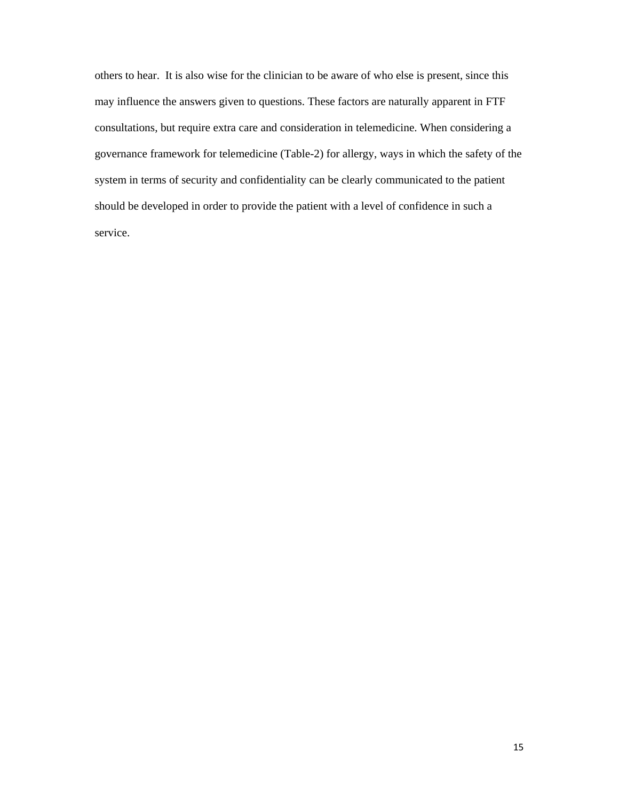others to hear. It is also wise for the clinician to be aware of who else is present, since this may influence the answers given to questions. These factors are naturally apparent in FTF consultations, but require extra care and consideration in telemedicine. When considering a governance framework for telemedicine (Table-2) for allergy, ways in which the safety of the system in terms of security and confidentiality can be clearly communicated to the patient should be developed in order to provide the patient with a level of confidence in such a service.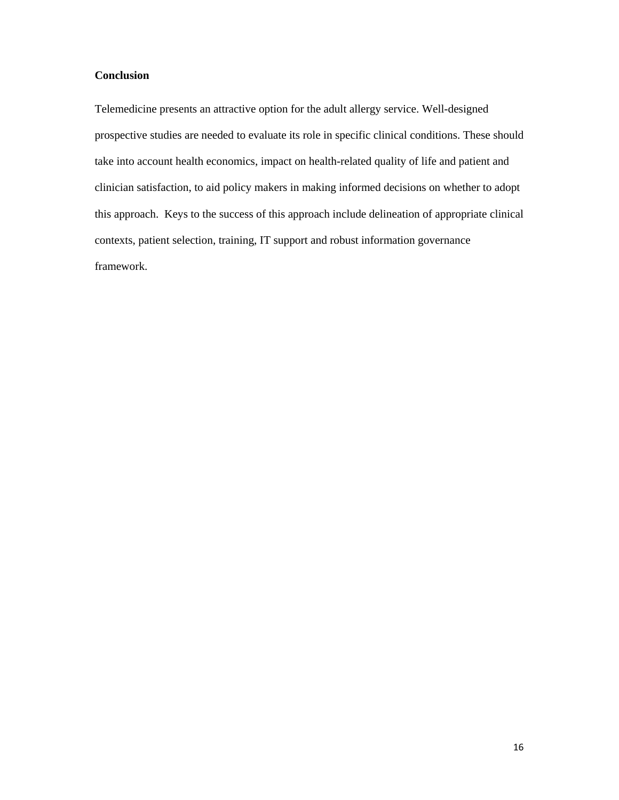## **Conclusion**

Telemedicine presents an attractive option for the adult allergy service. Well-designed prospective studies are needed to evaluate its role in specific clinical conditions. These should take into account health economics, impact on health-related quality of life and patient and clinician satisfaction, to aid policy makers in making informed decisions on whether to adopt this approach. Keys to the success of this approach include delineation of appropriate clinical contexts, patient selection, training, IT support and robust information governance framework.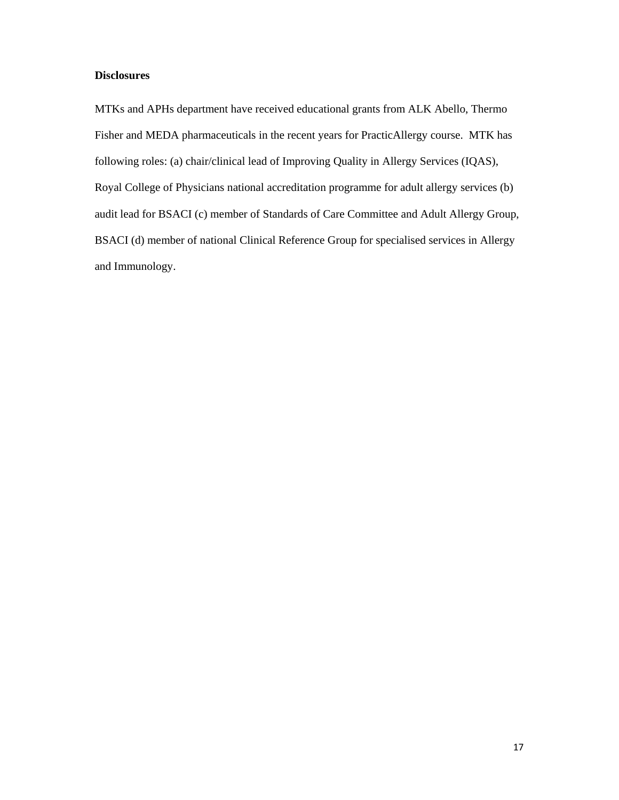## **Disclosures**

MTKs and APHs department have received educational grants from ALK Abello, Thermo Fisher and MEDA pharmaceuticals in the recent years for PracticAllergy course. MTK has following roles: (a) chair/clinical lead of Improving Quality in Allergy Services (IQAS), Royal College of Physicians national accreditation programme for adult allergy services (b) audit lead for BSACI (c) member of Standards of Care Committee and Adult Allergy Group, BSACI (d) member of national Clinical Reference Group for specialised services in Allergy and Immunology.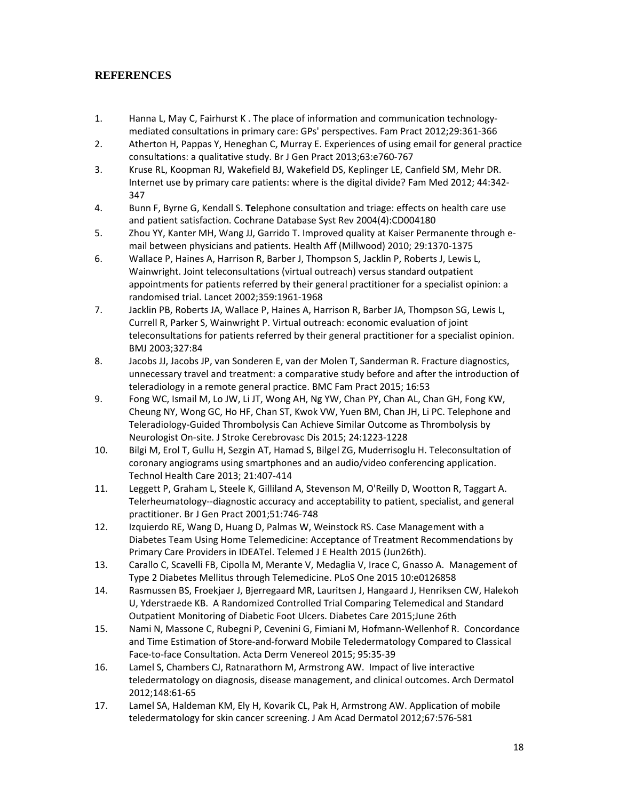# **REFERENCES**

- 1. Hanna L, May C, Fairhurst K . The place of information and communication technology‐ mediated consultations in primary care: GPs' perspectives. Fam Pract 2012;29:361‐366
- 2. Atherton H, Pappas Y, Heneghan C, Murray E. Experiences of using email for general practice consultations: a qualitative study. Br J Gen Pract 2013;63:e760‐767
- 3. Kruse RL, Koopman RJ, Wakefield BJ, Wakefield DS, Keplinger LE, Canfield SM, Mehr DR. Internet use by primary care patients: where is the digital divide? Fam Med 2012; 44:342‐ 347
- 4. Bunn F, Byrne G, Kendall S. **Te**lephone consultation and triage: effects on health care use and patient satisfaction. Cochrane Database Syst Rev 2004(4):CD004180
- 5. Zhou YY, Kanter MH, Wang JJ, Garrido T. Improved quality at Kaiser Permanente through email between physicians and patients. Health Aff (Millwood) 2010; 29:1370‐1375
- 6. Wallace P, Haines A, Harrison R, Barber J, Thompson S, Jacklin P, Roberts J, Lewis L, Wainwright. Joint teleconsultations (virtual outreach) versus standard outpatient appointments for patients referred by their general practitioner for a specialist opinion: a randomised trial. Lancet 2002;359:1961‐1968
- 7. Jacklin PB, Roberts JA, Wallace P, Haines A, Harrison R, Barber JA, Thompson SG, Lewis L, Currell R, Parker S, Wainwright P. Virtual outreach: economic evaluation of joint teleconsultations for patients referred by their general practitioner for a specialist opinion. BMJ 2003;327:84
- 8. Jacobs JJ, Jacobs JP, van Sonderen E, van der Molen T, Sanderman R. Fracture diagnostics, unnecessary travel and treatment: a comparative study before and after the introduction of teleradiology in a remote general practice. BMC Fam Pract 2015; 16:53
- 9. Fong WC, Ismail M, Lo JW, Li JT, Wong AH, Ng YW, Chan PY, Chan AL, Chan GH, Fong KW, Cheung NY, Wong GC, Ho HF, Chan ST, Kwok VW, Yuen BM, Chan JH, Li PC. Telephone and Teleradiology‐Guided Thrombolysis Can Achieve Similar Outcome as Thrombolysis by Neurologist On‐site. J Stroke Cerebrovasc Dis 2015; 24:1223‐1228
- 10. Bilgi M, Erol T, Gullu H, Sezgin AT, Hamad S, Bilgel ZG, Muderrisoglu H. Teleconsultation of coronary angiograms using smartphones and an audio/video conferencing application. Technol Health Care 2013; 21:407‐414
- 11. Leggett P, Graham L, Steele K, Gilliland A, Stevenson M, O'Reilly D, Wootton R, Taggart A. Telerheumatology‐‐diagnostic accuracy and acceptability to patient, specialist, and general practitioner. Br J Gen Pract 2001;51:746‐748
- 12. Izquierdo RE, Wang D, Huang D, Palmas W, Weinstock RS. Case Management with a Diabetes Team Using Home Telemedicine: Acceptance of Treatment Recommendations by Primary Care Providers in IDEATel. Telemed J E Health 2015 (Jun26th).
- 13. Carallo C, Scavelli FB, Cipolla M, Merante V, Medaglia V, Irace C, Gnasso A. Management of Type 2 Diabetes Mellitus through Telemedicine. PLoS One 2015 10:e0126858
- 14. Rasmussen BS, Froekjaer J, Bjerregaard MR, Lauritsen J, Hangaard J, Henriksen CW, Halekoh U, Yderstraede KB. A Randomized Controlled Trial Comparing Telemedical and Standard Outpatient Monitoring of Diabetic Foot Ulcers. Diabetes Care 2015;June 26th
- 15. Nami N, Massone C, Rubegni P, Cevenini G, Fimiani M, Hofmann‐Wellenhof R. Concordance and Time Estimation of Store‐and‐forward Mobile Teledermatology Compared to Classical Face‐to‐face Consultation. Acta Derm Venereol 2015; 95:35‐39
- 16. Lamel S, Chambers CJ, Ratnarathorn M, Armstrong AW. Impact of live interactive teledermatology on diagnosis, disease management, and clinical outcomes. Arch Dermatol 2012;148:61‐65
- 17. Lamel SA, Haldeman KM, Ely H, Kovarik CL, Pak H, Armstrong AW. Application of mobile teledermatology for skin cancer screening. J Am Acad Dermatol 2012;67:576‐581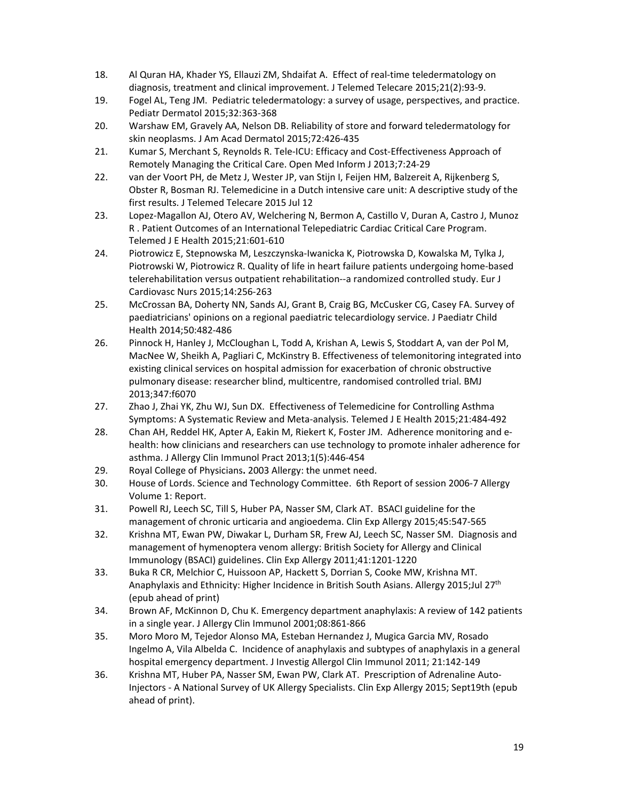- 18. Al Quran HA, Khader YS, Ellauzi ZM, Shdaifat A. Effect of real-time teledermatology on diagnosis, treatment and clinical improvement. J Telemed Telecare 2015;21(2):93‐9.
- 19. Fogel AL, Teng JM. Pediatric teledermatology: a survey of usage, perspectives, and practice. Pediatr Dermatol 2015;32:363‐368
- 20. Warshaw EM, Gravely AA, Nelson DB. Reliability of store and forward teledermatology for skin neoplasms. J Am Acad Dermatol 2015;72:426‐435
- 21. Kumar S, Merchant S, Reynolds R. Tele‐ICU: Efficacy and Cost‐Effectiveness Approach of Remotely Managing the Critical Care. Open Med Inform J 2013;7:24‐29
- 22. van der Voort PH, de Metz J, Wester JP, van Stijn I, Feijen HM, Balzereit A, Rijkenberg S, Obster R, Bosman RJ. Telemedicine in a Dutch intensive care unit: A descriptive study of the first results. J Telemed Telecare 2015 Jul 12
- 23. Lopez-Magallon AJ, Otero AV, Welchering N, Bermon A, Castillo V, Duran A, Castro J, Munoz R . Patient Outcomes of an International Telepediatric Cardiac Critical Care Program. Telemed J E Health 2015;21:601‐610
- 24. Piotrowicz E, Stepnowska M, Leszczynska‐Iwanicka K, Piotrowska D, Kowalska M, Tylka J, Piotrowski W, Piotrowicz R. Quality of life in heart failure patients undergoing home‐based telerehabilitation versus outpatient rehabilitation‐‐a randomized controlled study. Eur J Cardiovasc Nurs 2015;14:256‐263
- 25. McCrossan BA, Doherty NN, Sands AJ, Grant B, Craig BG, McCusker CG, Casey FA. Survey of paediatricians' opinions on a regional paediatric telecardiology service. J Paediatr Child Health 2014;50:482‐486
- 26. Pinnock H, Hanley J, McCloughan L, Todd A, Krishan A, Lewis S, Stoddart A, van der Pol M, MacNee W, Sheikh A, Pagliari C, McKinstry B. Effectiveness of telemonitoring integrated into existing clinical services on hospital admission for exacerbation of chronic obstructive pulmonary disease: researcher blind, multicentre, randomised controlled trial. BMJ 2013;347:f6070
- 27. Zhao J, Zhai YK, Zhu WJ, Sun DX. Effectiveness of Telemedicine for Controlling Asthma Symptoms: A Systematic Review and Meta‐analysis. Telemed J E Health 2015;21:484‐492
- 28. Chan AH, Reddel HK, Apter A, Eakin M, Riekert K, Foster JM. Adherence monitoring and ehealth: how clinicians and researchers can use technology to promote inhaler adherence for asthma. J Allergy Clin Immunol Pract 2013;1(5):446‐454
- 29. Royal College of Physicians**.** 2003 Allergy: the unmet need.
- 30. House of Lords. Science and Technology Committee. 6th Report of session 2006‐7 Allergy Volume 1: Report.
- 31. Powell RJ, Leech SC, Till S, Huber PA, Nasser SM, Clark AT. BSACI guideline for the management of chronic urticaria and angioedema. Clin Exp Allergy 2015;45:547‐565
- 32. Krishna MT, Ewan PW, Diwakar L, Durham SR, Frew AJ, Leech SC, Nasser SM. Diagnosis and management of hymenoptera venom allergy: British Society for Allergy and Clinical Immunology (BSACI) guidelines. Clin Exp Allergy 2011;41:1201‐1220
- 33. Buka R CR, Melchior C, Huissoon AP, Hackett S, Dorrian S, Cooke MW, Krishna MT. Anaphylaxis and Ethnicity: Higher Incidence in British South Asians. Allergy 2015;Jul 27<sup>th</sup> (epub ahead of print)
- 34. Brown AF, McKinnon D, Chu K. Emergency department anaphylaxis: A review of 142 patients in a single year. J Allergy Clin Immunol 2001;08:861‐866
- 35. Moro Moro M, Tejedor Alonso MA, Esteban Hernandez J, Mugica Garcia MV, Rosado Ingelmo A, Vila Albelda C. Incidence of anaphylaxis and subtypes of anaphylaxis in a general hospital emergency department. J Investig Allergol Clin Immunol 2011; 21:142‐149
- 36. Krishna MT, Huber PA, Nasser SM, Ewan PW, Clark AT. Prescription of Adrenaline Auto‐ Injectors ‐ A National Survey of UK Allergy Specialists. Clin Exp Allergy 2015; Sept19th (epub ahead of print).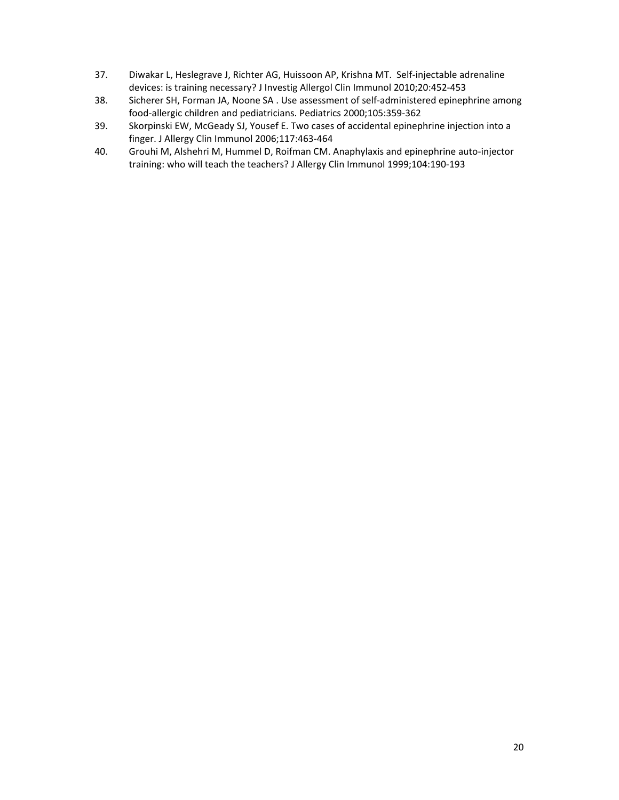- 37. Diwakar L, Heslegrave J, Richter AG, Huissoon AP, Krishna MT. Self-injectable adrenaline devices: is training necessary? J Investig Allergol Clin Immunol 2010;20:452‐453
- 38. Sicherer SH, Forman JA, Noone SA . Use assessment of self‐administered epinephrine among food‐allergic children and pediatricians. Pediatrics 2000;105:359‐362
- 39. Skorpinski EW, McGeady SJ, Yousef E. Two cases of accidental epinephrine injection into a finger. J Allergy Clin Immunol 2006;117:463‐464
- 40. Grouhi M, Alshehri M, Hummel D, Roifman CM. Anaphylaxis and epinephrine auto-injector training: who will teach the teachers? J Allergy Clin Immunol 1999;104:190‐193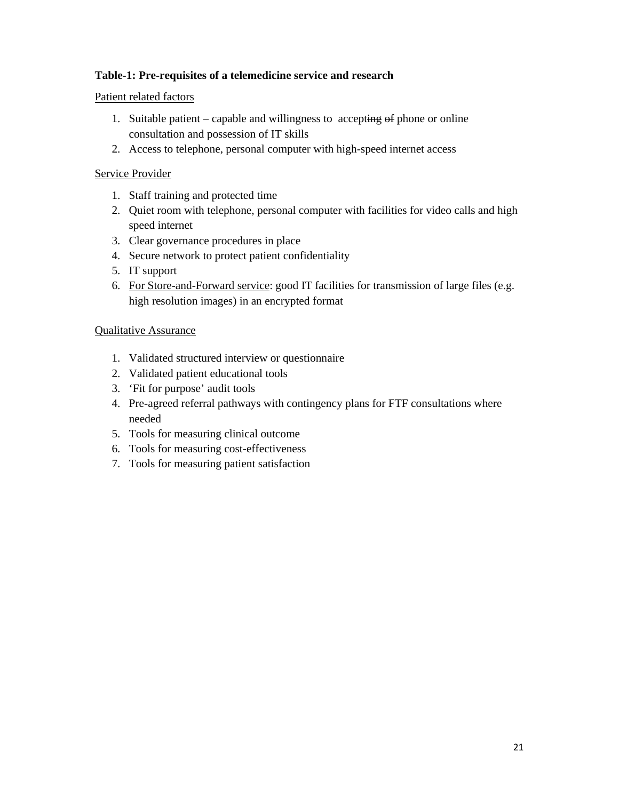## **Table-1: Pre-requisites of a telemedicine service and research**

## Patient related factors

- 1. Suitable patient capable and willingness to accepting  $\Theta$  phone or online consultation and possession of IT skills
- 2. Access to telephone, personal computer with high-speed internet access

## Service Provider

- 1. Staff training and protected time
- 2. Quiet room with telephone, personal computer with facilities for video calls and high speed internet
- 3. Clear governance procedures in place
- 4. Secure network to protect patient confidentiality
- 5. IT support
- 6. For Store-and-Forward service: good IT facilities for transmission of large files (e.g. high resolution images) in an encrypted format

## Qualitative Assurance

- 1. Validated structured interview or questionnaire
- 2. Validated patient educational tools
- 3. 'Fit for purpose' audit tools
- 4. Pre-agreed referral pathways with contingency plans for FTF consultations where needed
- 5. Tools for measuring clinical outcome
- 6. Tools for measuring cost-effectiveness
- 7. Tools for measuring patient satisfaction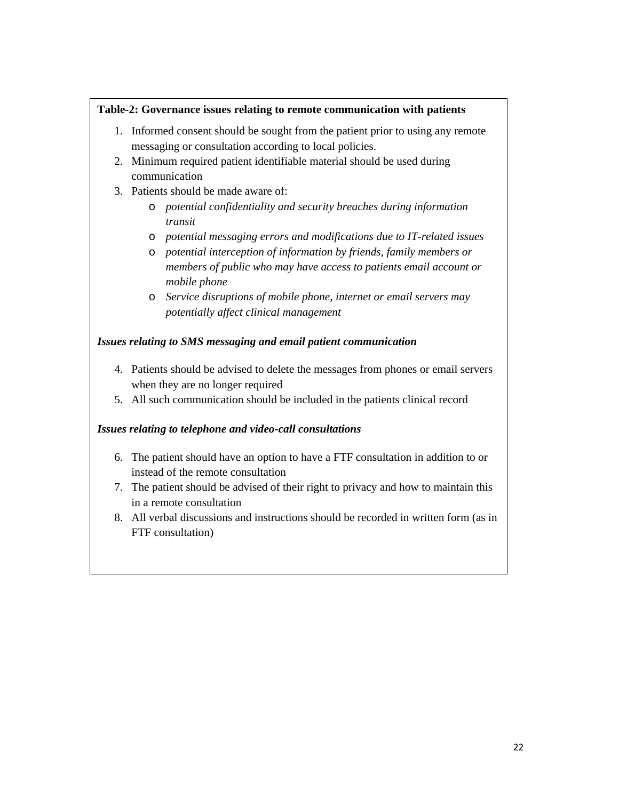## **Table-2: Governance issues relating to remote communication with patients**

- 1. Informed consent should be sought from the patient prior to using any remote messaging or consultation according to local policies.
- 2. Minimum required patient identifiable material should be used during communication
- 3. Patients should be made aware of:
	- o *potential confidentiality and security breaches during information transit*
	- o *potential messaging errors and modifications due to IT-related issues*
	- o *potential interception of information by friends, family members or members of public who may have access to patients email account or mobile phone*
	- o *Service disruptions of mobile phone, internet or email servers may potentially affect clinical management*

## *Issues relating to SMS messaging and email patient communication*

- 4. Patients should be advised to delete the messages from phones or email servers when they are no longer required
- 5. All such communication should be included in the patients clinical record

# *Issues relating to telephone and video-call consultations*

- 6. The patient should have an option to have a FTF consultation in addition to or instead of the remote consultation
- 7. The patient should be advised of their right to privacy and how to maintain this in a remote consultation
- 8. All verbal discussions and instructions should be recorded in written form (as in FTF consultation)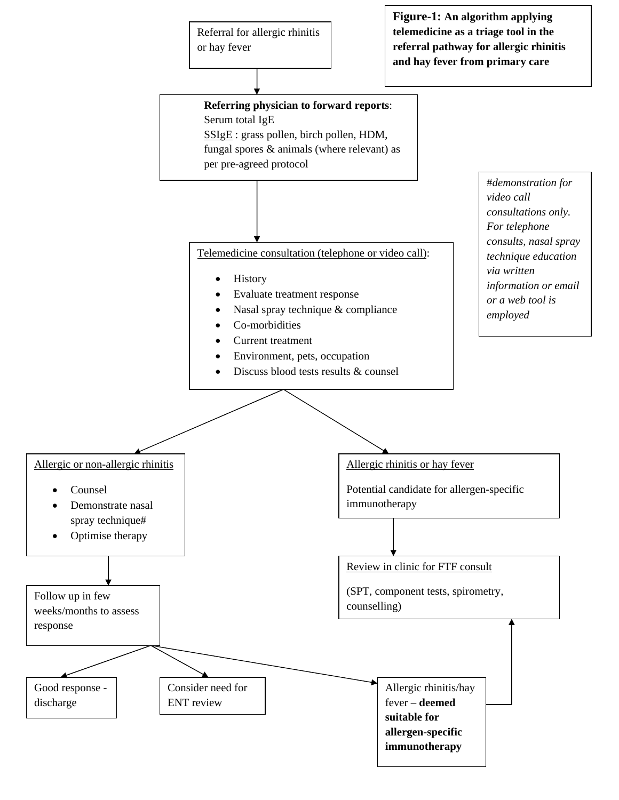

**Figure-1: An algorithm applying telemedicine as a triage tool in the referral pathway for allergic rhinitis and hay fever from primary care**

**Referring physician to forward reports**: Serum total IgE SSIgE : grass pollen, birch pollen, HDM, fungal spores & animals (where relevant) as

per pre-agreed protocol

Telemedicine consultation (telephone or video call):

- **History**
- Evaluate treatment response
- Nasal spray technique & compliance
- Co-morbidities
- Current treatment
- Environment, pets, occupation
- Discuss blood tests results & counsel

#*demonstration for video call consultations only. For telephone consults, nasal spray technique education via written information or email or a web tool is employed* 

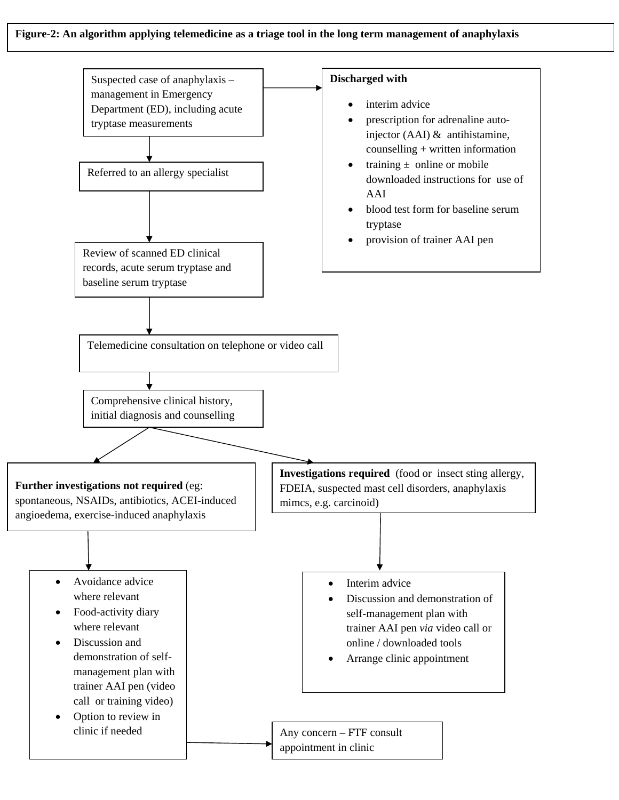#### **Figure-2: An algorithm applying telemedicine as a triage tool in the long term management of anaphylaxis**